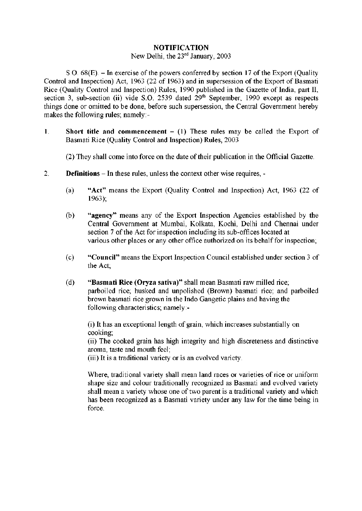## **NOTIFICATION**

## New Delhi, the 23<sup>rd</sup> January, 2003

S.O. 68(E). – In exercise of the powers conferred by section 17 of the Export (Quality Control and Inspection) Act, 1963 (22 of 1963) and in supersession of the Export of Basmati Rice (Quality Control and Inspection) Rules, 1990 published in the Gazette of India, part II, section 3, sub-section (ii) vide S.O. 2539 dated 29<sup>th</sup> September, 1990 except as respects  $\frac{1}{2}$  section 3, sub-section (ii) vide S.O. 2539 dated 29<sup>th</sup> September, 1990 except as respects makes the following rules; namely:-

1. **Short title and commencement** – (1) These rules may be called the Export of Basmati Rice (Quality Control and Inspection) Rules, 2003 Basmati Rice (Quality Control and Inspection) Rules, 2003

(2) They shall come into force on the date of their publication in the Official Gazette. (2) They shall come into force on the date of their publication in the Official Gazette.

- $2.$ **Definitions** – In these rules, unless the context other wise requires, -2. **Definitions** – In these rules, unless the context other wise requires, -
	- (a) **"Act"** means the Export (Quality Control and Inspection) Act, 1963 (22 of 1963);
	- (b) **"agency"** means any of the Export Inspection Agencies established by the Central Government at Mumbai, Kolkata, Kochi, Delhi and Chennai under section 7 of the Act for inspection including its sub-offices located at various other places or any other office authorized on its behalf for inspection;
	- (c) **"Council"** means the Export Inspection Council established under section 3 of the Act;
	- (d) **"Basmati Rice (Oryza sativa)"** shall mean Basmati raw milled rice; parboiled rice; husked and unpolished (Brown) basmati rice; and parboiled brown basmati rice grown in the Indo Gangetic plains and having the following characteristics; namely:-

(i) It has an exceptional length of grain, which increases substantially on cooking;

(ii) The cooked grain has high integrity and high discreteness and distinctive aroma, taste and mouth feel;

(iii) It is a traditional variety or is an evolved variety.

Where, traditional variety shall mean land races or varieties of rice or uniform shape size and colour traditionally recognized as Basmati and evolved variety shall mean a variety whose one of two parent is a traditional variety and which has been recognized as a Basmati variety under any law for the time being in force.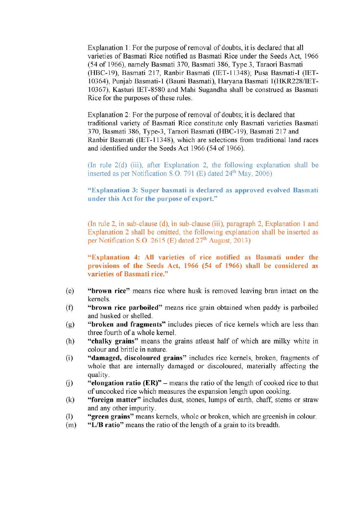Explanation 1: For the purpose of removal of doubts, it is declared that all varieties of Basmati Rice notified as Basmati Rice under the Seeds Act, 1966 (54 of 1966), namely Basmati 370, Basmati 386, Type 3, Taraori Basmati (HBC-19), Basmati 217, Ranbir Basmati (IET-11348); Pusa Basmati-I (IET-10364), Punjab Basmati-1 (Bauni Basmati), Haryana Basmati 1(HKR228/IET-10367), Kasturi IET-8580 and Mahi Sugandha shall be construed as Basmati Rice for the purposes of these rules.

Explanation 2: For the purpose of removal of doubts; it is declared that traditional variety of Basmati Rice constitute only Basmati varieties Basmati 370, Basmati 386, Type-3, Taraori Basmati (HBC-19), Basmati 217 and Ranbir Basmati (IET-11348), which are selections from traditional land races and identified under the Seeds Act 1966 (54 of 1966).

(In rule 2(d) (iii), after Explanation 2, the following explanation shall be inserted as per Notification S.O. 791 (E) dated 24<sup>th</sup> May, 2006)

**"Explanation 3: Super basmati is declared as approved evolved Basmati under this Act for the purpose of export."** 

(In rule 2, in sub-clause (d), in sub-clause (iii), paragraph 2, Explanation 1 and Explanation 2 shall be omitted, the following explanation shall be inserted as per Notification S.O. 2615 (E) dated 27<sup>th</sup> August, 2013)

**"Explanation 4: All varieties of rice notified as Basmati under the provisions of the Seeds Act, 1966 (54 of 1966) shall be considered as varieties of Basmati rice."** 

- (e) **"brown rice"** means rice where husk is removed leaving bran intact on the kernels.
- (f) **"brown rice parboiled"** means rice grain obtained when paddy is parboiled and husked or shelled.
- (g) **"broken and fragments"** includes pieces of rice kernels which are less than three fourth of a whole kernel.
- (h) **"chalky grains"** means the grains atleast half of which are milky white in colour and brittle in nature.
- (i) **"damaged, discoloured grains"** includes rice kernels, broken, fragments of whole that are internally damaged or discoloured, materially affecting the quality.
- (j) **"elongation ratio (ER)" –** means the ratio of the length of cooked rice to that of uncooked rice which measures the expansion length upon cooking.
- (k) **"foreign matter"** includes dust, stones, lumps of earth, chaff, stems or straw and any other impurity.
- (l) **"green grains"** means kernels, whole or broken, which are greenish in colour.
- (m) **"L/B ratio"** means the ratio of the length of a grain to its breadth.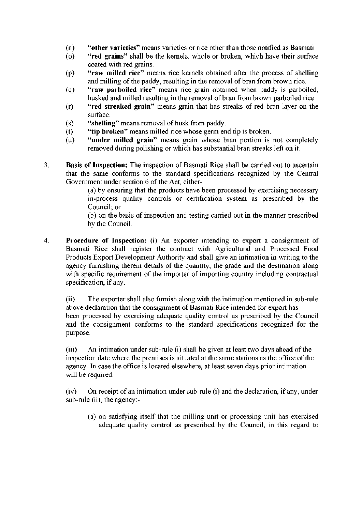- (n) **"other varieties"** means varieties or rice other than those notified as Basmati.
- (o) **"red grains"** shall be the kernels, whole or broken, which have their surface coated with red grains.
- (p) **"raw milled rice"** means rice kernels obtained after the process of shelling and milling of the paddy, resulting in the removal of bran from brown rice.
- (q) **"raw parboiled rice"** means rice grain obtained when paddy is parboiled, husked and milled resulting in the removal of bran from brown parboiled rice.
- (r) **"red streaked grain"** means grain that has streaks of red bran layer on the surface.
- (s) **"shelling"** means removal of husk from paddy.
- (t) **"tip broken"** means milled rice whose germ end tip is broken.
- (u) **"under milled grain"** means grain whose bran portion is not completely removed during polishing or which has substantial bran streaks left on it.
- 3. **Basis of Inspection:** The inspection of Basmati Rice shall be carried out to ascertain that the same conforms to the standard specifications recognized by the Central Government under section 6 of the Act, either-

(a) by ensuring that the products have been processed by exercising necessary in-process quality controls or certification system as prescribed by the Council; or

(b) on the basis of inspection and testing carried out in the manner prescribed by the Council.

4. **Procedure of Inspection:** (i) An exporter intending to export a consignment of Basmati Rice shall register the contract with Agricultural and Processed Food Products Export Development Authority and shall give an intimation in writing to the agency furnishing therein details of the quantity, the grade and the destination along with specific requirement of the importer of importing country including contractual specification, if any.

(ii) The exporter shall also furnish along with the intimation mentioned in sub-rule above declaration that the consignment of Basmati Rice intended for export has been processed by exercising adequate quality control as prescribed by the Council and the consignment conforms to the standard specifications recognized for the purpose.

(iii) An intimation under sub-rule (i) shall be given at least two days ahead of the inspection date where the premises is situated at the same stations as the office of the agency. In case the office is located elsewhere, at least seven days prior intimation will be required.

(iv) On receipt of an intimation under sub-rule (i) and the declaration, if any, under sub-rule (ii), the agency:-

(a) on satisfying itself that the milling unit or processing unit has exercised adequate quality control as prescribed by the Council, in this regard to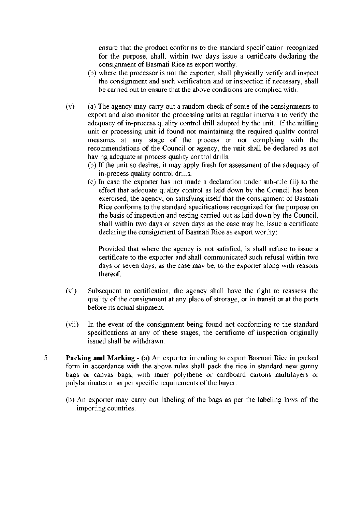ensure that the product conforms to the standard specification recognized for the purpose, shall, within two days issue a certificate declaring the consignment of Basmati Rice as export worthy.

- (b) where the processor is not the exporter, shall physically verify and inspect the consignment and such verification and or inspection if necessary, shall be carried out to ensure that the above conditions are complied with.
- (v) (a) The agency may carry out a random check of some of the consignments to export and also monitor the processing units at regular intervals to verify the adequacy of in-process quality control drill adopted by the unit. If the milling unit or processing unit id found not maintaining the required quality control measures at any stage of the process or not complying with the recommendations of the Council or agency, the unit shall be declared as not having adequate in process quality control drills.
	- (b) If the unit so desires, it may apply fresh for assessment of the adequacy of in-process quality control drills.
	- (c) In case the exporter has not made a declaration under sub-rule (ii) to the effect that adequate quality control as laid down by the Council has been exercised, the agency, on satisfying itself that the consignment of Basmati Rice conforms to the standard specifications recognized for the purpose on the basis of inspection and testing carried out as laid down by the Council, shall within two days or seven days as the case may be, issue a certificate declaring the consignment of Basmati Rice as export worthy:

Provided that where the agency is not satisfied, is shall refuse to issue a certificate to the exporter and shall communicated such refusal within two days or seven days, as the case may be, to the exporter along with reasons thereof.

- (vi) Subsequent to certification, the agency shall have the right to reassess the quality of the consignment at any place of strorage, or in transit or at the ports before its actual shipment.
- (vii) In the event of the consignment being found not conforming to the standard specifications at any of these stages, the certificate of inspection originally issued shall be withdrawn.
- 5. **Packing and Marking**:- (a) An exporter intending to export Basmati Rice in packed form in accordance with the above rules shall pack the rice in standard new gunny bags or canvas bags, with inner polythene or cardboard cartons multilayers or polylaminates or as per specific requirements of the buyer.
	- (b) An exporter may carry out labeling of the bags as per the labeling laws of the importing countries.